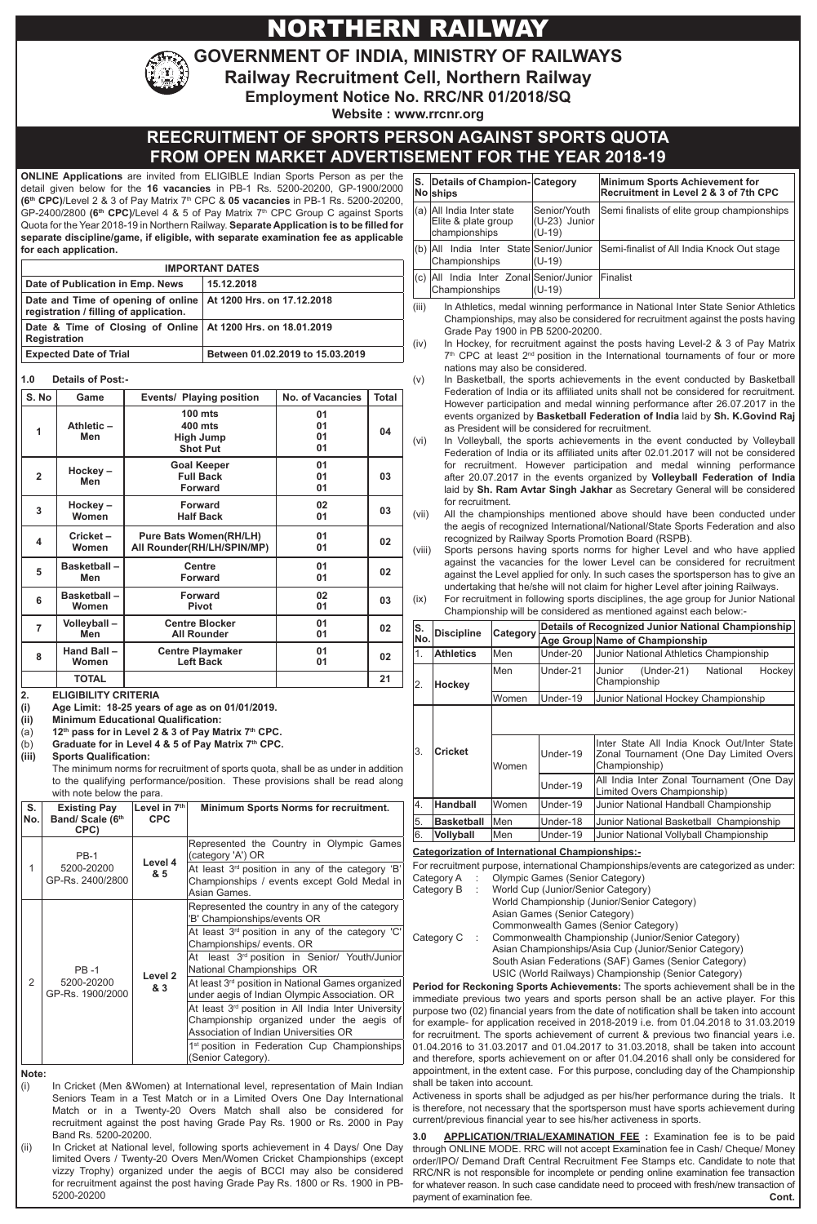# NORTHERN RAILWAY

**GOVERNMENT OF INDIA, MINISTRY OF RAILWAYS**

**Railway Recruitment Cell, Northern Railway Employment Notice No. RRC/NR 01/2018/SQ**

**Website : www.rrcnr.org**

# **REECRUITMENT OF SPORTS PERSON AGAINST SPORTS QUOTA FROM OPEN MARKET ADVERTIS**

**ONLINE Applications** are invited from ELIGIBLE Indian Sports Person as per the detail given below for the **16 vacancies** in PB-1 Rs. 5200-20200, GP-1900/2000 **(6th CPC)**/Level 2 & 3 of Pay Matrix 7th CPC & **05 vacancies** in PB-1 Rs. 5200-20200, GP-2400/2800 **(6th CPC)**/Level 4 & 5 of Pay Matrix 7th CPC Group C against Sports Quota for the Year 2018-19 in Northern Railway. **Separate Application is to be filled for separate discipline/game, if eligible, with separate examination fee as applicable for each application.**

| <b>IMPORTANT DATES</b>                                                                                    |                                  |  |  |
|-----------------------------------------------------------------------------------------------------------|----------------------------------|--|--|
| Date of Publication in Emp. News                                                                          | 15.12.2018                       |  |  |
| Date and Time of opening of online   At 1200 Hrs. on 17.12.2018<br>registration / filling of application. |                                  |  |  |
| Date & Time of Closing of Online   At 1200 Hrs. on 18.01.2019<br><b>Registration</b>                      |                                  |  |  |
| <b>Expected Date of Trial</b>                                                                             | Between 01.02.2019 to 15.03.2019 |  |  |

### **1.0 Details of Post:-**

| S. No          | Game                                                                             | Events/ Playing position                                    | <b>No. of Vacancies</b> | <b>Total</b> |
|----------------|----------------------------------------------------------------------------------|-------------------------------------------------------------|-------------------------|--------------|
| 1              | Athletic-<br>Men                                                                 | $100$ mts<br>400 mts<br><b>High Jump</b><br><b>Shot Put</b> | 01<br>01<br>01<br>01    | 04           |
| $\overline{2}$ | Hockey-<br>Men                                                                   | <b>Goal Keeper</b><br><b>Full Back</b><br><b>Forward</b>    | 01<br>01<br>01          | 03           |
| 3              | <b>Forward</b><br>Hockey-<br>Women<br><b>Half Back</b>                           |                                                             | 02<br>01                | 03           |
| 4              | <b>Pure Bats Women(RH/LH)</b><br>Cricket-<br>All Rounder(RH/LH/SPIN/MP)<br>Women |                                                             | 01<br>01                | 02           |
| 5              | <b>Basketball-</b><br>Men                                                        | <b>Centre</b><br><b>Forward</b>                             | 01<br>01                | 02           |
| 6              | <b>Basketball-</b><br><b>Forward</b><br>Women<br><b>Pivot</b>                    |                                                             | 02<br>01                | 03           |
| $\overline{7}$ | Volleyball-<br>Men                                                               | <b>Centre Blocker</b><br><b>All Rounder</b>                 | 01<br>01                | 02           |
| 8              | Hand Ball-<br>Women                                                              | <b>Centre Playmaker</b><br><b>Left Back</b>                 | 01<br>01                | 02           |
|                | <b>TOTAL</b>                                                                     |                                                             |                         | 21           |

**(ii) Minimum Educational Qualification:**

(a) **12th pass for in Level 2 & 3 of Pay Matrix 7th CPC.**

(b) **Graduate for in Level 4 & 5 of Pay Matrix 7th CPC.** 

**(iii) Sports Qualification:** 

The minimum norms for recruitment of sports quota, shall be as under in addition to the qualifying performance/position. These provisions shall be read along with note below the para.

| S.<br>No.      | <b>Existing Pay</b><br>Band/ Scale (6th<br>CPC) | Level in $7th$<br><b>CPC</b> | <b>Minimum Sports Norms for recruitment.</b>                                                                                                            |
|----------------|-------------------------------------------------|------------------------------|---------------------------------------------------------------------------------------------------------------------------------------------------------|
| 1              | <b>PB-1</b><br>5200-20200<br>GP-Rs. 2400/2800   | Level 4<br>& 5               | Represented the Country in Olympic Games<br>(category 'A') OR                                                                                           |
|                |                                                 |                              | At least 3rd position in any of the category 'B'<br>Championships / events except Gold Medal in<br>Asian Games.                                         |
| $\overline{2}$ | <b>PB-1</b>                                     | Level <sub>2</sub><br>& 3    | Represented the country in any of the category<br>'B' Championships/events OR                                                                           |
|                |                                                 |                              | At least 3 <sup>rd</sup> position in any of the category 'C'<br>Championships/events. OR                                                                |
|                |                                                 |                              | least 3rd position in Senior/ Youth/Junior<br>Atl<br>National Championships OR                                                                          |
|                | 5200-20200<br>GP-Rs. 1900/2000                  |                              | At least 3 <sup>rd</sup> position in National Games organized<br>under aegis of Indian Olympic Association. OR<br>Association of Indian Universities OR |
|                |                                                 |                              | At least 3 <sup>rd</sup> position in All India Inter University<br>Championship organized under the aegis of                                            |
|                |                                                 |                              | 1 <sup>st</sup> position in Federation Cup Championships<br>(Senior Category).                                                                          |

**Note:** 

(i) In Cricket (Men &Women) at International level, representation of Main Indian Seniors Team in a Test Match or in a Limited Overs One Day International Match or in a Twenty-20 Overs Match shall also be considered for recruitment against the post having Grade Pay Rs. 1900 or Rs. 2000 in Pay Band Rs. 5200-20200.

(ii) In Cricket at National level, following sports achievement in 4 Days/ One Day limited Overs / Twenty-20 Overs Men/Women Cricket Championships (except vizzy Trophy) organized under the aegis of BCCI may also be considered for recruitment against the post having Grade Pay Rs. 1800 or Rs. 1900 in PB-5200-20200

|                                                                                                   |                                                                                                                                                                                                                                                                                                                                                                                                                                                                                            |                                                                                                                                                                                                      |                                                        | <b>EMENT FOR THE YEAR 2018-19</b>                                                                                                                                                                                 |  |
|---------------------------------------------------------------------------------------------------|--------------------------------------------------------------------------------------------------------------------------------------------------------------------------------------------------------------------------------------------------------------------------------------------------------------------------------------------------------------------------------------------------------------------------------------------------------------------------------------------|------------------------------------------------------------------------------------------------------------------------------------------------------------------------------------------------------|--------------------------------------------------------|-------------------------------------------------------------------------------------------------------------------------------------------------------------------------------------------------------------------|--|
| S.                                                                                                | Details of Champion-Category<br>Noships                                                                                                                                                                                                                                                                                                                                                                                                                                                    |                                                                                                                                                                                                      |                                                        | <b>Minimum Sports Achievement for</b><br>Recruitment in Level 2 & 3 of 7th CPC                                                                                                                                    |  |
|                                                                                                   | (a) All India Inter state<br>Elite & plate group<br>championships                                                                                                                                                                                                                                                                                                                                                                                                                          |                                                                                                                                                                                                      | Senior/Youth<br>(U-23) Junior<br>$(U-19)$              | Semi finalists of elite group championships                                                                                                                                                                       |  |
|                                                                                                   | Championships                                                                                                                                                                                                                                                                                                                                                                                                                                                                              |                                                                                                                                                                                                      | (b) All India Inter State Senior/Junior<br>$(U-19)$    | Semi-finalist of All India Knock Out stage                                                                                                                                                                        |  |
|                                                                                                   | Championships                                                                                                                                                                                                                                                                                                                                                                                                                                                                              |                                                                                                                                                                                                      | (c) All India Inter Zonal Senior/Junior<br>$(U-19)$    | Finalist                                                                                                                                                                                                          |  |
| (iii)<br>(iv)                                                                                     | In Athletics, medal winning performance in National Inter State Senior Athletics<br>Championships, may also be considered for recruitment against the posts having<br>Grade Pay 1900 in PB 5200-20200.<br>In Hockey, for recruitment against the posts having Level-2 & 3 of Pay Matrix                                                                                                                                                                                                    |                                                                                                                                                                                                      |                                                        |                                                                                                                                                                                                                   |  |
| (v)                                                                                               |                                                                                                                                                                                                                                                                                                                                                                                                                                                                                            | $7th$ CPC at least $2nd$ position in the International tournaments of four or more<br>nations may also be considered.<br>In Basketball, the sports achievements in the event conducted by Basketball |                                                        |                                                                                                                                                                                                                   |  |
|                                                                                                   | Federation of India or its affiliated units shall not be considered for recruitment.<br>However participation and medal winning performance after 26.07.2017 in the<br>events organized by Basketball Federation of India laid by Sh. K.Govind Raj<br>as President will be considered for recruitment.                                                                                                                                                                                     |                                                                                                                                                                                                      |                                                        |                                                                                                                                                                                                                   |  |
| (vi)                                                                                              | In Volleyball, the sports achievements in the event conducted by Volleyball<br>Federation of India or its affiliated units after 02.01.2017 will not be considered<br>for recruitment. However participation and medal winning performance<br>after 20.07.2017 in the events organized by Volleyball Federation of India<br>laid by Sh. Ram Avtar Singh Jakhar as Secretary General will be considered<br>for recruitment.                                                                 |                                                                                                                                                                                                      |                                                        |                                                                                                                                                                                                                   |  |
| (vii)                                                                                             |                                                                                                                                                                                                                                                                                                                                                                                                                                                                                            |                                                                                                                                                                                                      |                                                        | All the championships mentioned above should have been conducted under<br>the aegis of recognized International/National/State Sports Federation and also<br>recognized by Railway Sports Promotion Board (RSPB). |  |
| (viii)<br>(ix)                                                                                    | Sports persons having sports norms for higher Level and who have applied<br>against the vacancies for the lower Level can be considered for recruitment<br>against the Level applied for only. In such cases the sportsperson has to give an<br>undertaking that he/she will not claim for higher Level after joining Railways.<br>For recruitment in following sports disciplines, the age group for Junior National<br>Championship will be considered as mentioned against each below:- |                                                                                                                                                                                                      |                                                        |                                                                                                                                                                                                                   |  |
| ls.<br>No.                                                                                        | <b>Discipline</b>                                                                                                                                                                                                                                                                                                                                                                                                                                                                          | Category                                                                                                                                                                                             |                                                        | <b>Details of Recognized Junior National Championship</b><br>Age Group Name of Championship                                                                                                                       |  |
| $\overline{1}$ .                                                                                  | <b>Athletics</b>                                                                                                                                                                                                                                                                                                                                                                                                                                                                           | Men                                                                                                                                                                                                  | Under-20                                               | Junior National Athletics Championship                                                                                                                                                                            |  |
| 2.                                                                                                | <b>Hockey</b>                                                                                                                                                                                                                                                                                                                                                                                                                                                                              | Men                                                                                                                                                                                                  | Under-21                                               | National<br>Junior<br>$(Under-21)$<br>Hockey<br>Championship                                                                                                                                                      |  |
|                                                                                                   |                                                                                                                                                                                                                                                                                                                                                                                                                                                                                            | Women                                                                                                                                                                                                | Under-19                                               | Junior National Hockey Championship                                                                                                                                                                               |  |
|                                                                                                   |                                                                                                                                                                                                                                                                                                                                                                                                                                                                                            |                                                                                                                                                                                                      |                                                        |                                                                                                                                                                                                                   |  |
| 3.                                                                                                | <b>Cricket</b>                                                                                                                                                                                                                                                                                                                                                                                                                                                                             | Women                                                                                                                                                                                                | Under-19                                               | Inter State All India Knock Out/Inter State<br>Zonal Tournament (One Day Limited Overs<br>Championship)                                                                                                           |  |
|                                                                                                   |                                                                                                                                                                                                                                                                                                                                                                                                                                                                                            |                                                                                                                                                                                                      | Under-19                                               | All India Inter Zonal Tournament (One Day<br>Limited Overs Championship)                                                                                                                                          |  |
| 4.                                                                                                | <b>Handball</b>                                                                                                                                                                                                                                                                                                                                                                                                                                                                            | Women                                                                                                                                                                                                | Under-19                                               | Junior National Handball Championship                                                                                                                                                                             |  |
| 5.                                                                                                | <b>Basketball</b>                                                                                                                                                                                                                                                                                                                                                                                                                                                                          | Men                                                                                                                                                                                                  | Under-18                                               | Junior National Basketball Championship                                                                                                                                                                           |  |
| 6.                                                                                                | Vollyball                                                                                                                                                                                                                                                                                                                                                                                                                                                                                  | Men                                                                                                                                                                                                  | Under-19                                               | Junior National Vollyball Championship                                                                                                                                                                            |  |
|                                                                                                   |                                                                                                                                                                                                                                                                                                                                                                                                                                                                                            |                                                                                                                                                                                                      | <b>Categorization of International Championships:-</b> |                                                                                                                                                                                                                   |  |
|                                                                                                   |                                                                                                                                                                                                                                                                                                                                                                                                                                                                                            |                                                                                                                                                                                                      |                                                        | For recruitment purpose, international Championships/events are categorized as under:                                                                                                                             |  |
| Olympic Games (Senior Category)<br>Category A<br>Category B<br>World Cup (Junior/Senior Category) |                                                                                                                                                                                                                                                                                                                                                                                                                                                                                            |                                                                                                                                                                                                      |                                                        |                                                                                                                                                                                                                   |  |
|                                                                                                   |                                                                                                                                                                                                                                                                                                                                                                                                                                                                                            |                                                                                                                                                                                                      | World Championship (Junior/Senior Category)            |                                                                                                                                                                                                                   |  |
|                                                                                                   |                                                                                                                                                                                                                                                                                                                                                                                                                                                                                            | Asian Games (Senior Category)                                                                                                                                                                        |                                                        |                                                                                                                                                                                                                   |  |
| Category C<br>÷                                                                                   |                                                                                                                                                                                                                                                                                                                                                                                                                                                                                            |                                                                                                                                                                                                      |                                                        | Commonwealth Games (Senior Category)<br>Commonwealth Championship (Junior/Senior Category)                                                                                                                        |  |
|                                                                                                   |                                                                                                                                                                                                                                                                                                                                                                                                                                                                                            |                                                                                                                                                                                                      |                                                        | Asian Championships/Asia Cup (Junior/Senior Category)                                                                                                                                                             |  |
|                                                                                                   |                                                                                                                                                                                                                                                                                                                                                                                                                                                                                            | South Asian Federations (SAF) Games (Senior Category)                                                                                                                                                |                                                        |                                                                                                                                                                                                                   |  |
|                                                                                                   |                                                                                                                                                                                                                                                                                                                                                                                                                                                                                            |                                                                                                                                                                                                      |                                                        | USIC (World Railways) Championship (Senior Category)                                                                                                                                                              |  |
|                                                                                                   | Period for Reckoning Sports Achievements: The sports achievement shall be in the<br>immediate previous two years and sports person shall be an active player. For this                                                                                                                                                                                                                                                                                                                     |                                                                                                                                                                                                      |                                                        |                                                                                                                                                                                                                   |  |

immediate previous two years and sports person shall be an active player. For this purpose two (02) financial years from the date of notification shall be taken into account for example- for application received in 2018-2019 i.e. from 01.04.2018 to 31.03.2019 for recruitment. The sports achievement of current & previous two financial years i.e. 01.04.2016 to 31.03.2017 and 01.04.2017 to 31.03.2018, shall be taken into account and therefore, sports achievement on or after 01.04.2016 shall only be considered for appointment, in the extent case. For this purpose, concluding day of the Championship shall be taken into account.

Activeness in sports shall be adjudged as per his/her performance during the trials. It is therefore, not necessary that the sportsperson must have sports achievement during current/previous financial year to see his/her activeness in sports.

**Cont. 3.0 APPLICATION/TRIAL/EXAMINATION FEE :** Examination fee is to be paid through ONLINE MODE. RRC will not accept Examination fee in Cash/ Cheque/ Money order/IPO/ Demand Draft Central Recruitment Fee Stamps etc. Candidate to note that RRC/NR is not responsible for incomplete or pending online examination fee transaction for whatever reason. In such case candidate need to proceed with fresh/new transaction of payment of examination fee.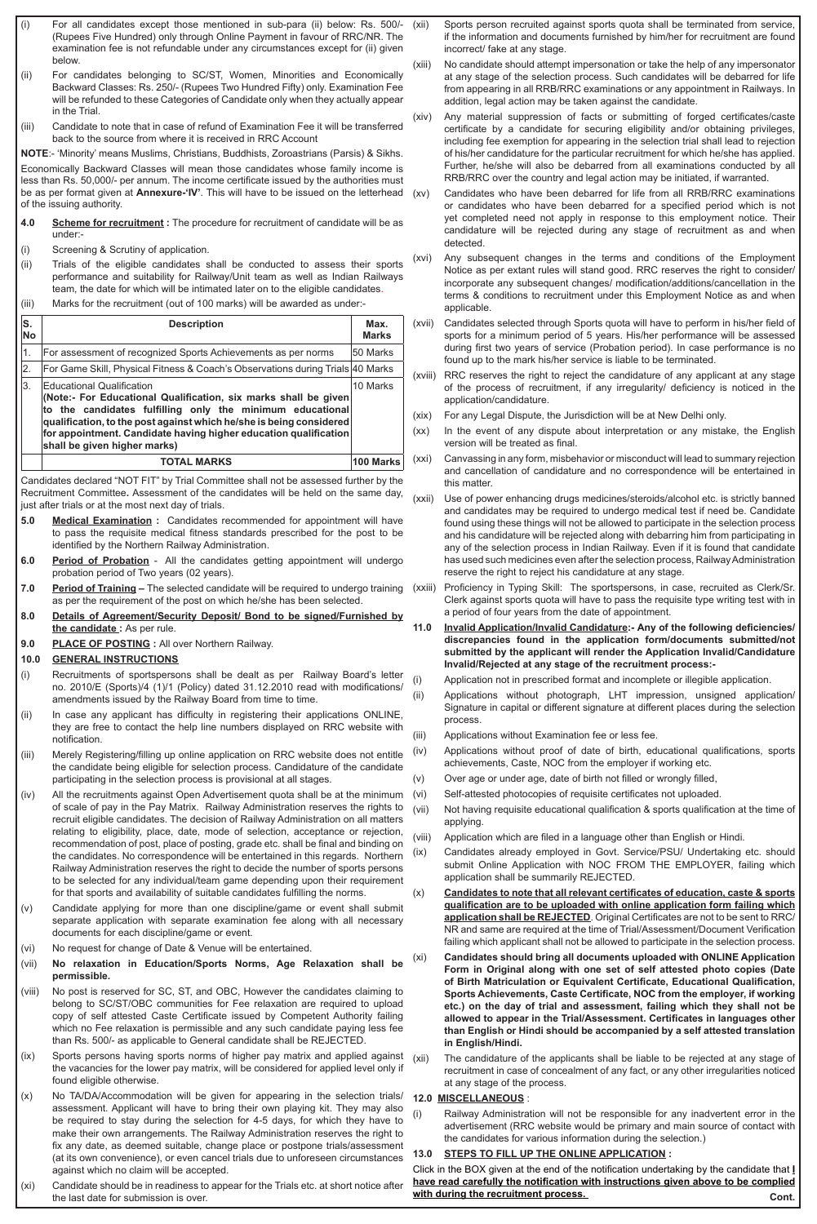- For all candidates except those mentioned in sub-para (ii) below: Rs. 500/-(Rupees Five Hundred) only through Online Payment in favour of RRC/NR. The examination fee is not refundable under any circumstances except for (ii) given below.
- (ii) For candidates belonging to SC/ST, Women, Minorities and Economically Backward Classes: Rs. 250/- (Rupees Two Hundred Fifty) only. Examination Fee will be refunded to these Categories of Candidate only when they actually appear in the Trial.
- (iii) Candidate to note that in case of refund of Examination Fee it will be transferred back to the source from where it is received in RRC Account

**NOTE**:- 'Minority' means Muslims, Christians, Buddhists, Zoroastrians (Parsis) & Sikhs.

Economically Backward Classes will mean those candidates whose family income is less than Rs. 50,000/- per annum. The income certificate issued by the authorities must be as per format given at **Annexure-'IV'**. This will have to be issued on the letterhead of the issuing authority.

- **4.0 Scheme for recruitment :** The procedure for recruitment of candidate will be as under:-
- (i) Screening & Scrutiny of application.
- (ii) Trials of the eligible candidates shall be conducted to assess their sports performance and suitability for Railway/Unit team as well as Indian Railways team, the date for which will be intimated later on to the eligible candidates.
- (iii) Marks for the recruitment (out of 100 marks) will be awarded as under:-

| S.<br><b>No</b>  | <b>Description</b>                                                                                                                                                                                                                                                                                                                                       |           |  |  |
|------------------|----------------------------------------------------------------------------------------------------------------------------------------------------------------------------------------------------------------------------------------------------------------------------------------------------------------------------------------------------------|-----------|--|--|
| 1.               | For assessment of recognized Sports Achievements as per norms                                                                                                                                                                                                                                                                                            | 50 Marks  |  |  |
| $\overline{2}$ . | For Game Skill, Physical Fitness & Coach's Observations during Trials 40 Marks                                                                                                                                                                                                                                                                           |           |  |  |
| 3.               | 10 Marks<br><b>Educational Qualification</b><br>(Note:- For Educational Qualification, six marks shall be given)<br>to the candidates fulfilling only the minimum educational<br>qualification, to the post against which he/she is being considered<br>for appointment. Candidate having higher education qualification<br>shall be given higher marks) |           |  |  |
|                  | <b>TOTAL MARKS</b>                                                                                                                                                                                                                                                                                                                                       | 100 Marks |  |  |

Candidates declared "NOT FIT" by Trial Committee shall not be assessed further by the Recruitment Committee**.** Assessment of the candidates will be held on the same day, just after trials or at the most next day of trials.

- **5.0 Medical Examination :** Candidates recommended for appointment will have to pass the requisite medical fitness standards prescribed for the post to be identified by the Northern Railway Administration.
- **6.0 Period of Probation**  All the candidates getting appointment will undergo probation period of Two years (02 years).
- **7.0 Period of Training** The selected candidate will be required to undergo training as per the requirement of the post on which he/she has been selected.
- **8.0 Details of Agreement/Security Deposit/ Bond to be signed/Furnished by the candidate :** As per rule.
- **9.0 PLACE OF POSTING :** All over Northern Railway.

## **10.0 GENERAL INSTRUCTIONS**

- (i) Recruitments of sportspersons shall be dealt as per Railway Board's letter no. 2010/E (Sports)/4 (1)/1 (Policy) dated 31.12.2010 read with modifications/ amendments issued by the Railway Board from time to time.
- (ii) In case any applicant has difficulty in registering their applications ONLINE, they are free to contact the help line numbers displayed on RRC website with notification.
- (iii) Merely Registering/filling up online application on RRC website does not entitle the candidate being eligible for selection process. Candidature of the candidate participating in the selection process is provisional at all stages.
- (iv) All the recruitments against Open Advertisement quota shall be at the minimum of scale of pay in the Pay Matrix. Railway Administration reserves the rights to recruit eligible candidates. The decision of Railway Administration on all matters relating to eligibility, place, date, mode of selection, acceptance or rejection, recommendation of post, place of posting, grade etc. shall be final and binding on the candidates. No correspondence will be entertained in this regards. Northern Railway Administration reserves the right to decide the number of sports persons to be selected for any individual/team game depending upon their requirement for that sports and availability of suitable candidates fulfilling the norms.
- (v) Candidate applying for more than one discipline/game or event shall submit separate application with separate examination fee along with all necessary documents for each discipline/game or event.
- (vi) No request for change of Date & Venue will be entertained.
- (vii) **No relaxation in Education/Sports Norms, Age Relaxation shall be permissible.**
- (viii) No post is reserved for SC, ST, and OBC, However the candidates claiming to belong to SC/ST/OBC communities for Fee relaxation are required to upload copy of self attested Caste Certificate issued by Competent Authority failing which no Fee relaxation is permissible and any such candidate paying less fee than Rs. 500/- as applicable to General candidate shall be REJECTED.
- (ix) Sports persons having sports norms of higher pay matrix and applied against the vacancies for the lower pay matrix, will be considered for applied level only if found eligible otherwise.
- (x) No TA/DA/Accommodation will be given for appearing in the selection trials/ assessment. Applicant will have to bring their own playing kit. They may also be required to stay during the selection for 4-5 days, for which they have to make their own arrangements. The Railway Administration reserves the right to fix any date, as deemed suitable, change place or postpone trials/assessment (at its own convenience), or even cancel trials due to unforeseen circumstances against which no claim will be accepted.
- (xi) Candidate should be in readiness to appear for the Trials etc. at short notice after the last date for submission is over.
- (xii) Sports person recruited against sports quota shall be terminated from service, if the information and documents furnished by him/her for recruitment are found incorrect/ fake at any stage.
- (xiii) No candidate should attempt impersonation or take the help of any impersonator at any stage of the selection process. Such candidates will be debarred for life from appearing in all RRB/RRC examinations or any appointment in Railways. In addition, legal action may be taken against the candidate.
- (xiv) Any material suppression of facts or submitting of forged certificates/caste certificate by a candidate for securing eligibility and/or obtaining privileges, including fee exemption for appearing in the selection trial shall lead to rejection of his/her candidature for the particular recruitment for which he/she has applied. Further, he/she will also be debarred from all examinations conducted by all RRB/RRC over the country and legal action may be initiated, if warranted.
- (xv) Candidates who have been debarred for life from all RRB/RRC examinations or candidates who have been debarred for a specified period which is not yet completed need not apply in response to this employment notice. Their candidature will be rejected during any stage of recruitment as and when detected.
- (xvi) Any subsequent changes in the terms and conditions of the Employment Notice as per extant rules will stand good. RRC reserves the right to consider/ incorporate any subsequent changes/ modification/additions/cancellation in the terms & conditions to recruitment under this Employment Notice as and when applicable.
- (xvii) Candidates selected through Sports quota will have to perform in his/her field of sports for a minimum period of 5 years. His/her performance will be assessed during first two years of service (Probation period). In case performance is no found up to the mark his/her service is liable to be terminated.
- (xviii) RRC reserves the right to reject the candidature of any applicant at any stage of the process of recruitment, if any irregularity/ deficiency is noticed in the application/candidature.
- (xix) For any Legal Dispute, the Jurisdiction will be at New Delhi only.
- (xx) In the event of any dispute about interpretation or any mistake, the English version will be treated as final.
- (xxi) Canvassing in any form, misbehavior or misconduct will lead to summary rejection and cancellation of candidature and no correspondence will be entertained in this matter.
- (xxii) Use of power enhancing drugs medicines/steroids/alcohol etc. is strictly banned and candidates may be required to undergo medical test if need be. Candidate found using these things will not be allowed to participate in the selection process and his candidature will be rejected along with debarring him from participating in any of the selection process in Indian Railway. Even if it is found that candidate has used such medicines even after the selection process, Railway Administration reserve the right to reject his candidature at any stage.
	- Proficiency in Typing Skill: The sportspersons, in case, recruited as Clerk/Sr. Clerk against sports quota will have to pass the requisite type writing test with in a period of four years from the date of appointment.
- **11.0 Invalid Application/Invalid Candidature:- Any of the following deficiencies/ discrepancies found in the application form/documents submitted/not submitted by the applicant will render the Application Invalid/Candidature Invalid/Rejected at any stage of the recruitment process:-**

(i) Application not in prescribed format and incomplete or illegible application.

- (ii) Applications without photograph, LHT impression, unsigned application/ Signature in capital or different signature at different places during the selection process.
- (iii) Applications without Examination fee or less fee.
- (iv) Applications without proof of date of birth, educational qualifications, sports achievements, Caste, NOC from the employer if working etc.
- (v) Over age or under age, date of birth not filled or wrongly filled,
- (vi) Self-attested photocopies of requisite certificates not uploaded.
- (vii) Not having requisite educational qualification & sports qualification at the time of applying.
- (viii) Application which are filed in a language other than English or Hindi.
- (ix) Candidates already employed in Govt. Service/PSU/ Undertaking etc. should submit Online Application with NOC FROM THE EMPLOYER, failing which application shall be summarily REJECTED.
- (x) **Candidates to note that all relevant certificates of education, caste & sports qualification are to be uploaded with online application form failing which application shall be REJECTED**. Original Certificates are not to be sent to RRC/ NR and same are required at the time of Trial/Assessment/Document Verification failing which applicant shall not be allowed to participate in the selection process.
- (xi) **Candidates should bring all documents uploaded with ONLINE Application Form in Original along with one set of self attested photo copies (Date of Birth Matriculation or Equivalent Certificate, Educational Qualification, Sports Achievements, Caste Certificate, NOC from the employer, if working etc.) on the day of trial and assessment, failing which they shall not be allowed to appear in the Trial/Assessment. Certificates in languages other than English or Hindi should be accompanied by a self attested translation in English/Hindi.**
- (xii) The candidature of the applicants shall be liable to be rejected at any stage of recruitment in case of concealment of any fact, or any other irregularities noticed at any stage of the process.

#### **12.0 MISCELLANEOUS** :

Railway Administration will not be responsible for any inadvertent error in the advertisement (RRC website would be primary and main source of contact with the candidates for various information during the selection.)

#### **13.0 STEPS TO FILL UP THE ONLINE APPLICATION :**

**Cont.** Click in the BOX given at the end of the notification undertaking by the candidate that **I have read carefully the notification with instructions given above to be complied with during the recruitment process.**